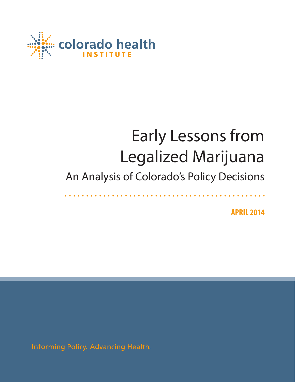

# Early Lessons from Legalized Marijuana

## An Analysis of Colorado's Policy Decisions

**APRIL 2014**

Informing Policy. Advancing Health.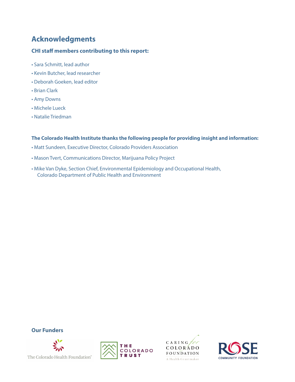## **Acknowledgments**

#### **CHI staff members contributing to this report:**

- Sara Schmitt, lead author
- Kevin Butcher, lead researcher
- Deborah Goeken, lead editor
- Brian Clark
- Amy Downs
- Michele Lueck
- Natalie Triedman

#### **The Colorado Health Institute thanks the following people for providing insight and information:**

- Matt Sundeen, Executive Director, Colorado Providers Association
- Mason Tvert, Communications Director, Marijuana Policy Project
- Mike Van Dyke, Section Chief, Environmental Epidemiology and Occupational Health, Colorado Department of Public Health and Environment









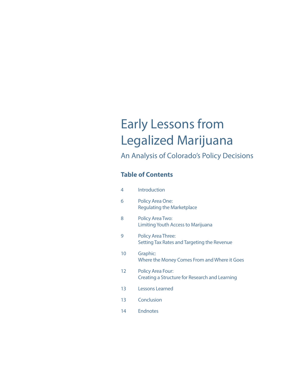## Early Lessons from Legalized Marijuana

## An Analysis of Colorado's Policy Decisions

### **Table of Contents**

| 4  | <b>Introduction</b>                                                        |
|----|----------------------------------------------------------------------------|
| 6  | <b>Policy Area One:</b><br><b>Regulating the Marketplace</b>               |
| 8  | <b>Policy Area Two:</b><br>Limiting Youth Access to Marijuana              |
| 9  | <b>Policy Area Three:</b><br>Setting Tax Rates and Targeting the Revenue   |
| 10 | Graphic:<br>Where the Money Comes From and Where it Goes                   |
| 12 | <b>Policy Area Four:</b><br>Creating a Structure for Research and Learning |
| 13 | Lessons Learned                                                            |
| 13 | Conclusion                                                                 |
| 14 | <b>Endnotes</b>                                                            |
|    |                                                                            |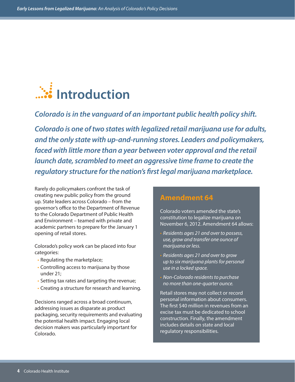

*Colorado is in the vanguard of an important public health policy shift.*

*Colorado is one of two states with legalized retail marijuana use for adults, and the only state with up-and-running stores. Leaders and policymakers, faced with little more than a year between voter approval and the retail launch date, scrambled to meet an aggressive time frame to create the regulatory structure for the nation's first legal marijuana marketplace.*

Rarely do policymakers confront the task of creating new public policy from the ground up. State leaders across Colorado – from the governor's office to the Department of Revenue to the Colorado Department of Public Health and Environment – teamed with private and academic partners to prepare for the January 1 opening of retail stores.

Colorado's policy work can be placed into four categories:

- Regulating the marketplace;
- Controlling access to marijuana by those under 21;
- Setting tax rates and targeting the revenue;
- Creating a structure for research and learning.

Decisions ranged across a broad continuum, addressing issues as disparate as product packaging, security requirements and evaluating the potential health impact. Engaging local decision makers was particularly important for Colorado.

### **Amendment 64**

Colorado voters amended the state's constitution to legalize marijuana on November 6, 2012. Amendment 64 allows:

- *Residents ages 21 and over to possess, use, grow and transfer one ounce of marijuana or less.*
- *• Residents ages 21 and over to grow up to six marijuana plants for personal use in a locked space.*
- *• Non-Colorado residents to purchase no more than one-quarter ounce.*

Retail stores may not collect or record personal information about consumers. The first \$40 million in revenues from an excise tax must be dedicated to school construction. Finally, the amendment includes details on state and local regulatory responsibilities.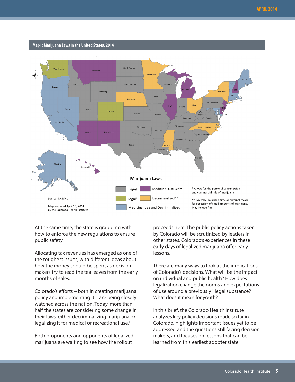

At the same time, the state is grappling with how to enforce the new regulations to ensure public safety.

Allocating tax revenues has emerged as one of the toughest issues, with different ideas about how the money should be spent as decision makers try to read the tea leaves from the early months of sales.

Colorado's efforts – both in creating marijuana policy and implementing it – are being closely watched across the nation. Today, more than half the states are considering some change in their laws, either decriminalizing marijuana or legalizing it for medical or recreational use.<sup>1</sup>

Both proponents and opponents of legalized marijuana are waiting to see how the rollout

proceeds here. The public policy actions taken by Colorado will be scrutinized by leaders in other states. Colorado's experiences in these early days of legalized marijuana offer early lessons.

There are many ways to look at the implications of Colorado's decisions. What will be the impact on individual and public health? How does legalization change the norms and expectations of use around a previously illegal substance? What does it mean for youth?

In this brief, the Colorado Health Institute analyzes key policy decisions made so far in Colorado, highlights important issues yet to be addressed and the questions still facing decision makers, and focuses on lessons that can be learned from this earliest adopter state.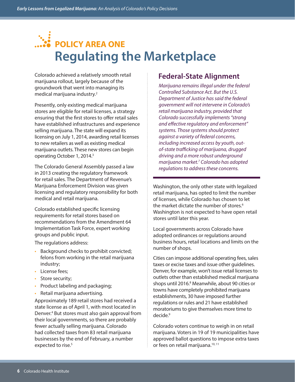## **POLICY AREA ONE Regulating the Marketplace**

Colorado achieved a relatively smooth retail marijuana rollout, largely because of the groundwork that went into managing its medical marijuana industry.2

Presently, only existing medical marijuana stores are eligible for retail licenses, a strategy ensuring that the first stores to offer retail sales have established infrastructures and experience selling marijuana. The state will expand its licensing on July 1, 2014, awarding retail licenses to new retailers as well as existing medical marijuana outlets. These new stores can begin operating October 1, 2014.3

The Colorado General Assembly passed a law in 2013 creating the regulatory framework for retail sales. The Department of Revenue's Marijuana Enforcement Division was given licensing and regulatory responsibility for both medical and retail marijuana.

Colorado established specific licensing requirements for retail stores based on recommendations from the Amendment 64 Implementation Task Force, expert working groups and public input.

The regulations address:

- Background checks to prohibit convicted; felons from working in the retail marijuana industry;
- License fees;
- Store security;
- Product labeling and packaging;
- Retail marijuana advertising.

Approximately 189 retail stores had received a state license as of April 1, with most located in Denver.<sup>4</sup> But stores must also gain approval from their local governments, so there are probably fewer actually selling marijuana. Colorado had collected taxes from 83 retail marijuana businesses by the end of February, a number expected to rise.<sup>5</sup>

### **Federal-State Alignment**

*Marijuana remains illegal under the federal Controlled Substance Act. But the U.S. Department of Justice has said the federal government will not intervene in Colorado's retail marijuana industry, provided that Colorado successfully implements "strong and effective regulatory and enforcement" systems. Those systems should protect against a variety of federal concerns, including increased access by youth, outof-state trafficking of marijuana, drugged driving and a more robust underground marijuana market.7 Colorado has adopted regulations to address these concerns.* 

Washington, the only other state with legalized retail marijuana, has opted to limit the number of licenses, while Colorado has chosen to let the market dictate the number of stores.<sup>6</sup> Washington is not expected to have open retail stores until later this year.

Local governments across Colorado have adopted ordinances or regulations around business hours, retail locations and limits on the number of shops.

Cities can impose additional operating fees, sales taxes or excise taxes and issue other guidelines. Denver, for example, won't issue retail licenses to outlets other than established medical marijuana shops until 2016.<sup>8</sup> Meanwhile, about 90 cities or towns have completely prohibited marijuana establishments, 30 have imposed further regulations or rules and 21 have established moratoriums to give themselves more time to decide.<sup>9</sup>

Colorado voters continue to weigh in on retail marijuana. Voters in 19 of 19 municipalities have approved ballot questions to impose extra taxes or fees on retail marijuana.<sup>10, 11</sup>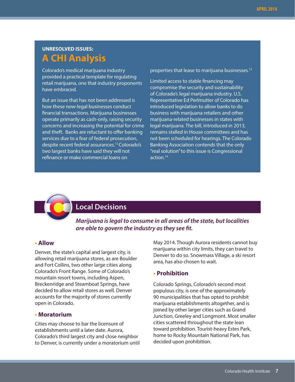## **UNRESOLVED ISSUES: A CHI Analysis**

Colorado's medical marijuana industry provided a practical template for regulating retail marijuana, one that industry proponents have embraced.

But an issue that has not been addressed is how these now-legal businesses conduct financial transactions. Marijuana businesses operate primarily as cash-only, raising security concerns and increasing the potential for crime and theft. Banks are reluctant to offer banking services due to a fear of federal prosecution, despite recent federal assurances.12 Colorado's two largest banks have said they will not refinance or make commercial loans on

properties that lease to marijuana businesses.<sup>13</sup>

Limited access to stable financing may compromise the security and sustainability of Colorado's legal marijuana industry. U.S. Representative Ed Perlmutter of Colorado has introduced legislation to allow banks to do business with marijuana retailers and other marijuana-related businesses in states with legal marijuana. The bill, introduced in 2013, remains stalled in House committees and has not been scheduled for hearings. The Colorado Banking Association contends that the only "real solution" to this issue is Congressional action.14



### **Local Decisions**

*Marijuana is legal to consume in all areas of the state, but localities are able to govern the industry as they see fit.* 

#### **• Allow**

Denver, the state's capital and largest city, is allowing retail marijuana stores, as are Boulder and Fort Collins, two other large cities along Colorado's Front Range. Some of Colorado's mountain resort towns, including Aspen, Breckenridge and Steamboat Springs, have decided to allow retail stores as well. Denver accounts for the majority of stores currently open in Colorado.

#### **• Moratorium**

Cities may choose to bar the licensure of establishments until a later date. Aurora, Colorado's third largest city and close neighbor to Denver, is currently under a moratorium until May 2014. Though Aurora residents cannot buy marijuana within city limits, they can travel to Denver to do so. Snowmass Village, a ski resort area, has also chosen to wait.

#### **• Prohibition**

Colorado Springs, Colorado's second most populous city, is one of the approximately 90 municipalities that has opted to prohibit marijuana establishments altogether, and is joined by other larger cities such as Grand Junction, Greeley and Longmont. Most smaller cities scattered throughout the state lean toward prohibition. Tourist-heavy Estes Park, home to Rocky Mountain National Park, has decided upon prohibition.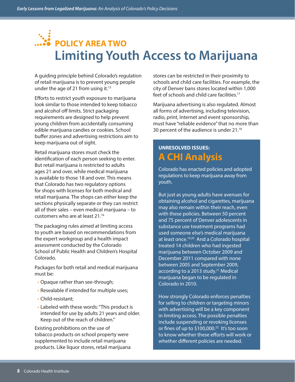## **POLICY AREA TWO Limiting Youth Access to Marijuana**

A guiding principle behind Colorado's regulation of retail marijuana is to prevent young people under the age of 21 from using it.<sup>15</sup>

Efforts to restrict youth exposure to marijuana look similar to those intended to keep tobacco and alcohol off limits. Strict packaging requirements are designed to help prevent young children from accidentally consuming edible marijuana candies or cookies. School buffer zones and advertising restrictions aim to keep marijuana out of sight.

Retail marijuana stores must check the identification of each person seeking to enter. But retail marijuana is restricted to adults ages 21 and over, while medical marijuana is available to those 18 and over. This means that Colorado has two regulatory options for shops with licenses for both medical and retail marijuana. The shops can either keep the sections physically separate or they can restrict all of their sales – even medical marijuana – to customers who are at least 21.16

The packaging rules aimed at limiting access to youth are based on recommendations from the expert workgroup and a health impact assessment conducted by the Colorado School of Public Health and Children's Hospital Colorado.

Packages for both retail and medical marijuana must be:

- Opaque rather than see-through;
- Resealable if intended for multiple uses;
- Child-resistant;
- Labeled with these words: "This product is intended for use by adults 21 years and older. Keep out of the reach of children."

Existing prohibitions on the use of tobacco products on school property were supplemented to include retail marijuana products. Like liquor stores, retail marijuana stores can be restricted in their proximity to schools and child care facilities. For example, the city of Denver bans stores located within 1,000 feet of schools and child care facilities.17

Marijuana advertising is also regulated. Almost all forms of advertising, including television, radio, print, Internet and event sponsorship, must have "reliable evidence" that no more than 30 percent of the audience is under 21.18

## **UNRESOLVED ISSUES: A CHI Analysis**

Colorado has enacted policies and adopted regulations to keep marijuana away from youth.

But just as young adults have avenues for obtaining alcohol and cigarettes, marijuana may also remain within their reach, even with these policies. Between 50 percent and 75 percent of Denver adolescents in substance use treatment programs had used someone else's medical marijuana at least once.19,20 And a Colorado hospital treated 14 children who had ingested marijuana between October 2009 and December 2011 compared with none between 2005 and September 2009, according to a 2013 study.<sup>21</sup> Medical marijuana began to be regulated in Colorado in 2010.

How strongly Colorado enforces penalties for selling to children or targeting minors with advertising will be a key component in limiting access. The possible penalties include suspending or revoking licenses or fines of up to \$100,000.<sup>22</sup> It's too soon to know whether these efforts will work or whether different policies are needed.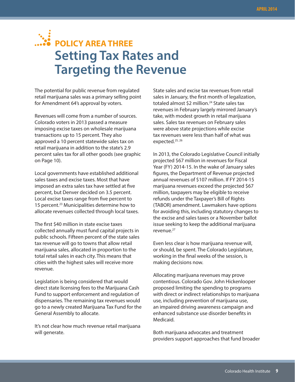## **POLICY AREA THREE Setting Tax Rates and Targeting the Revenue**

The potential for public revenue from regulated retail marijuana sales was a primary selling point for Amendment 64's approval by voters.

Revenues will come from a number of sources. Colorado voters in 2013 passed a measure imposing excise taxes on wholesale marijuana transactions up to 15 percent. They also approved a 10 percent statewide sales tax on retail marijuana in addition to the state's 2.9 percent sales tax for all other goods (see graphic on Page 10).

Local governments have established additional sales taxes and excise taxes. Most that have imposed an extra sales tax have settled at five percent, but Denver decided on 3.5 percent. Local excise taxes range from five percent to 15 percent.23 Municipalities determine how to allocate revenues collected through local taxes.

The first \$40 million in state excise taxes collected annually must fund capital projects in public schools. Fifteen percent of the state sales tax revenue will go to towns that allow retail marijuana sales, allocated in proportion to the total retail sales in each city. This means that cities with the highest sales will receive more revenue.

Legislation is being considered that would direct state licensing fees to the Marijuana Cash Fund to support enforcement and regulation of dispensaries. The remaining tax revenues would go to a newly created Marijuana Tax Fund for the General Assembly to allocate.

It's not clear how much revenue retail marijuana will generate.

State sales and excise tax revenues from retail sales in January, the first month of legalization, totaled almost \$2 million.<sup>24</sup> State sales tax revenues in February largely mirrored January's take, with modest growth in retail marijuana sales. Sales tax revenues on February sales were above state projections while excise tax revenues were less than half of what was expected.<sup>25, 26</sup>

In 2013, the Colorado Legislative Council initially projected \$67 million in revenues for Fiscal Year (FY) 2014-15. In the wake of January sales figures, the Department of Revenue projected annual revenues of \$107 million. If FY 2014-15 marijuana revenues exceed the projected \$67 million, taxpayers may be eligible to receive refunds under the Taxpayer's Bill of Rights (TABOR) amendment. Lawmakers have options for avoiding this, including statutory changes to the excise and sales taxes or a November ballot issue seeking to keep the additional marijuana revenue.27

Even less clear is how marijuana revenue will, or should, be spent. The Colorado Legislature, working in the final weeks of the session, is making decisions now.

Allocating marijuana revenues may prove contentious. Colorado Gov. John Hickenlooper proposed limiting the spending to programs with direct or indirect relationships to marijuana use, including prevention of marijuana use, an impaired driving awareness campaign and enhanced substance use disorder benefits in Medicaid.

Both marijuana advocates and treatment providers support approaches that fund broader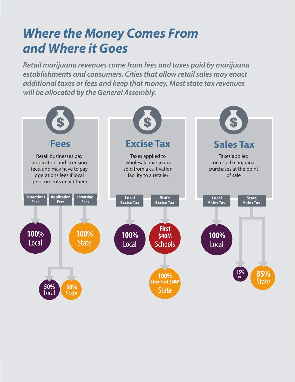## *Where the Money Comes From and Where it Goes*

*Retail marijuana revenues come from fees and taxes paid by marijuana establishments and consumers. Cities that allow retail sales may enact additional taxes or fees and keep that money. Most state tax revenues will be allocated by the General Assembly.* 

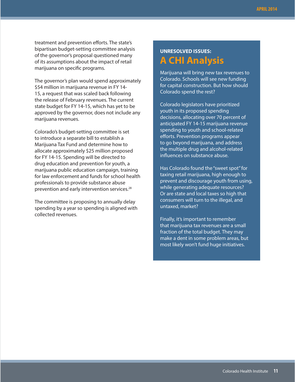treatment and prevention efforts. The state's bipartisan budget-setting committee analysis of the governor's proposal questioned many of its assumptions about the impact of retail marijuana on specific programs.

The governor's plan would spend approximately \$54 million in marijuana revenue in FY 14- 15, a request that was scaled back following the release of February revenues. The current state budget for FY 14-15, which has yet to be approved by the governor, does not include any marijuana revenues.

Colorado's budget-setting committee is set to introduce a separate bill to establish a Marijuana Tax Fund and determine how to allocate approximately \$25 million proposed for FY 14-15. Spending will be directed to drug education and prevention for youth, a marijuana public education campaign, training for law enforcement and funds for school health professionals to provide substance abuse prevention and early intervention services.<sup>28</sup>

The committee is proposing to annually delay spending by a year so spending is aligned with collected revenues.

## **UNRESOLVED ISSUES: A CHI Analysis**

Marijuana will bring new tax revenues to Colorado. Schools will see new funding for capital construction. But how should Colorado spend the rest?

Colorado legislators have prioritized youth in its proposed spending decisions, allocating over 70 percent of anticipated FY 14-15 marijuana revenue spending to youth and school-related efforts. Prevention programs appear to go beyond marijuana, and address the multiple drug and alcohol-related influences on substance abuse.

Has Colorado found the "sweet spot" for taxing retail marijuana, high enough to prevent and discourage youth from using, while generating adequate resources? Or are state and local taxes so high that consumers will turn to the illegal, and untaxed, market?

Finally, it's important to remember that marijuana tax revenues are a small fraction of the total budget. They may make a dent in some problem areas, but most likely won't fund huge initiatives.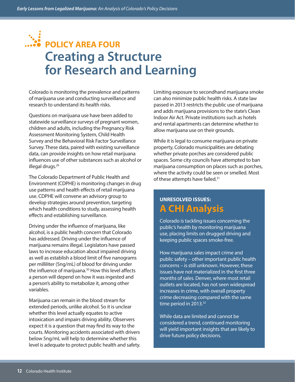## **POLICY AREA FOUR Creating a Structure for Research and Learning**

Colorado is monitoring the prevalence and patterns of marijuana use and conducting surveillance and research to understand its health risks.

Questions on marijuana use have been added to statewide surveillance surveys of pregnant women, children and adults, including the Pregnancy Risk Assessment Monitoring System, Child Health Survey and the Behavioral Risk Factor Surveillance Survey. These data, paired with existing surveillance data, can provide insights on how retail marijuana influences use of other substances such as alcohol or illegal drugs.<sup>29</sup>

The Colorado Department of Public Health and Environment (CDPHE) is monitoring changes in drug use patterns and health effects of retail marijuana use. CDPHE will convene an advisory group to develop strategies around prevention, targeting which health conditions to study, assessing health effects and establishing surveillance.

Driving under the influence of marijuana, like alcohol, is a public health concern that Colorado has addressed. Driving under the influence of marijuana remains illegal. Legislators have passed laws to increase education about impaired driving as well as establish a blood limit of five nanograms per milliliter (5ng/mL) of blood for driving under the influence of marijuana.<sup>30</sup> How this level affects a person will depend on how it was ingested and a person's ability to metabolize it, among other variables.

Marijuana can remain in the blood stream for extended periods, unlike alcohol. So it is unclear whether this level actually equates to active intoxication and impairs driving ability. Observers expect it is a question that may find its way to the courts. Monitoring accidents associated with drivers below 5ng/mL will help to determine whether this level is adequate to protect public health and safety. Limiting exposure to secondhand marijuana smoke can also minimize public health risks. A state law passed in 2013 restricts the public use of marijuana and adds marijuana provisions to the state's Clean Indoor Air Act. Private institutions such as hotels and rental apartments can determine whether to allow marijuana use on their grounds.

While it is legal to consume marijuana on private property, Colorado municipalities are debating whether private porches are considered public spaces. Some city councils have attempted to ban marijuana consumption on places such as porches, where the activity could be seen or smelled. Most of these attempts have failed.<sup>31</sup>

### **UNRESOLVED ISSUES: A CHI Analysis**

Colorado is tackling issues concerning the public's health by monitoring marijuana use, placing limits on drugged driving and keeping public spaces smoke-free.

How marijuana sales impact crime and public safety – other important public health concerns – is still unknown. However, these issues have not materialized in the first three months of sales. Denver, where most retail outlets are located, has not seen widespread increases in crime, with overall property crime decreasing compared with the same time period in 2013.<sup>32</sup>

While data are limited and cannot be considered a trend, continued monitoring will yield important insights that are likely to drive future policy decisions.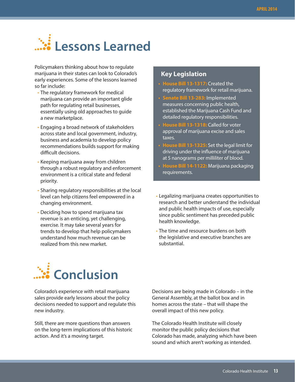# **Lessons Learned**

Policymakers thinking about how to regulate marijuana in their states can look to Colorado's early experiences. Some of the lessons learned so far include:

- The regulatory framework for medical marijuana can provide an important glide path for regulating retail businesses, essentially using old approaches to guide a new marketplace.
- Engaging a broad network of stakeholders across state and local government, industry, business and academia to develop policy recommendations builds support for making difficult decisions.
- Keeping marijuana away from children through a robust regulatory and enforcement environment is a critical state and federal priority.
- Sharing regulatory responsibilities at the local level can help citizens feel empowered in a changing environment.
- Deciding how to spend marijuana tax revenue is an enticing, yet challenging, exercise. It may take several years for trends to develop that help policymakers understand how much revenue can be realized from this new market.

#### **Key Legislation**

- **• House Bill 13-1317:** Created the regulatory framework for retail marijuana.
- **• Senate Bill 13-283:** Implemented measures concerning public health, established the Marijuana Cash Fund and detailed regulatory responsibilities.
- **• House Bill 13-1318:** Called for voter approval of marijuana excise and sales taxes.
- **• House Bill 13-1325:** Set the legal limit for driving under the influence of marijuana at 5 nanograms per milliliter of blood.
- **• House Bill 14-1122:** Marijuana packaging requirements.
- Legalizing marijuana creates opportunities to research and better understand the individual and public health impacts of use, especially since public sentiment has preceded public health knowledge.
- The time and resource burdens on both the legislative and executive branches are substantial.



Colorado's experience with retail marijuana sales provide early lessons about the policy decisions needed to support and regulate this new industry.

Still, there are more questions than answers on the long-term implications of this historic action. And it's a moving target.

Decisions are being made in Colorado – in the General Assembly, at the ballot box and in homes across the state – that will shape the overall impact of this new policy.

The Colorado Health Institute will closely monitor the public policy decisions that Colorado has made, analyzing which have been sound and which aren't working as intended.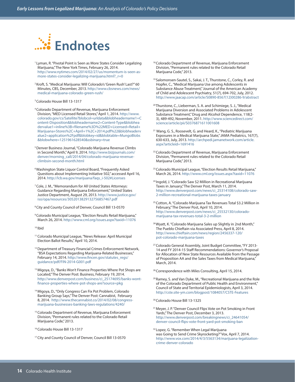

- <sup>1</sup> Lyman, R. "Pivotal Point is Seen as More States Consider Legalizing Marijuana," The New York Times, February 26, 2014. http://www.nytimes.com/2014/02/27/us/momentum-is-seen-asmore-states-consider-legalizing-marijuana.html?\_r=0
- 2 Kroft, S. "Medical Marijuana: Will Colorado's 'Green Rush' Last?" 60 Minutes, CBS, December, 2013. http://www.cbsnews.com/news/ medical-marijuana-colorado-green-rush/
- 3 Colorado House Bill 13-1317
- 4 Colorado Department of Revenue, Marijuana Enforcement Division, "MED Licensed Retail Stores," April 1, 2014. http://www. colorado.gov/cs/Satellite?blobcol=urldata&blobheadername1=C ontent-Disposition&blobheadername2=Content-Type&blobhea dervalue1=inline%3B+filename%3D%22MED+Licensed+Retail+ Marijuana+Stores%2C+April+1%2C+2014.pdf%22&blobheaderv alue2=application%2Fpdf&blobkey=id&blobtable=MungoBlobs &blobwhere=1251961628540&ssbinary=true
- 5 Denver Business Journal, "Colorado Marijuana Revenue Climbs in Second Month," April 9, 2014. http://www.bizjournals.com/ denver/morning\_call/2014/04/colorado-marijuana-revenueclimbsin-second-month.html
- 6 Washington State Liquor Control Board, "Frequently Asked Questions about Implementing Initiative 502," accessed April 16, 2014. http://lcb.wa.gov/marijuana/faqs\_i-502#Licenses
- 7 Cole, J. M., "Memorandum for All United States Attorneys: Guidance Regarding Marijuana Enforcement," United States Justice Department, August 29, 2013. http://www.justice.gov/ iso/opa/resources/3052013829132756857467.pdf
- 8 City and County Council of Denver, Council Bill 13-0570
- 9 Colorado Municipal League, "Election Results Retail Marijuana," March 26, 2014. http://www.cml.org/issues.aspx?taxid=11076
- 10 Ibid
- 11 Colorado Municipal League, "News Release: April Municipal Election Ballot Results," April 10, 2014.
- <sup>12</sup> Department of Treasury Financial Crimes Enforcement Network, "BSA Expectations Regarding Marijuana-Related Businesses," February 14, 2014. http://www.fincen.gov/statutes\_regs/ guidance/pdf/FIN-2014-G001.pdf
- <sup>13</sup> Migoya, D., "Banks Won't Finance Properties Where Pot Shops are Located," The Denver Post: Business, February 19, 2014. http://www.denverpost.com/business/ci\_25174695/banks-wontfinance-properties-where-pot-shops-are?source=pkg
- 14 Migoya, D., "Only Congress Can Fix Pot Problem, Colorado Banking Group Says," The Denver Post: Cannabist, February 8, 2014. http://www.thecannabist.co/2014/02/08/congressmarijuana-businesses-banking-laws-regulations/4240/
- <sup>15</sup> Colorado Department of Revenue, Marijuana Enforcement Division, "Permanent rules related to the Colorado Retail Marijuana Code," 2013.
- 16 Colorado House Bill 13-1317
- 17 City and County Council of Denver, Council Bill 13-0570

<sup>18</sup> Colorado Department of Revenue, Marijuana Enforcement Division, "Permanent rules related to the Colorado Retail Marijuana Code," 2013.

- <sup>19</sup> Salomonsen-Sautel, S., Sakai, J. T., Thurstone, C., Corley, R. and Hopfer, C., "Medical Marijuana Use among Adolescents in Substance Abuse Treatment," Journal of the American Academy of Child and Adolescent Psychiatry, 51(7), 694-702, July, 2012. http://www.jaacap.com/article/S0890-8567(12)00286-9/abstract
- 20 Thurstone, C., Lieberman, S. A. and Schimiege, S. J., "Medical Marijuana Diversion and Associated Problems in Adolescent Substance Treatment," Drug and Alcohol Dependence, 118(2- 3), 489-492, November, 2011. http://www.sciencedirect.com/ science/article/pii/S0376871611001608
- 21 Wang, G. S., Roosevelt, G. and Heard, K., "Pediatric Marijuana Exposures in a Medical Marijuana State," JAMA Pediatrics, 167(7), 630-633, July, 2013. http://archpedi.jamanetwork.com/article. aspx?articleid=1691416
- <sup>22</sup> Colorado Department of Revenue, Marijuana Enforcement Division, "Permanent rules related to the Colorado Retail Marijuana Code," 2013.
- <sup>23</sup> Colorado Municipal League, "Election Results Retail Marijuana," March 26, 2014. http://www.cml.org/issues.aspx?taxid=11076
- 24 Ingold, J. "Colorado Saw \$2 Million in Recreational Marijuana Taxes in January," The Denver Post, March 11, 2014. http://www.denverpost.com/news/ci\_25314108/colorado-saw-2-million-recreational-marijuana-taxes-january
- 25 Cotton, A. "Colorado Marijuana Tax Revenues Total \$3.2 Million in February," The Denver Post, April 10, 2014. http://www.denverpost.com/news/ci\_25532130/coloradomarijuana-tax-revenues-total-3-2-million
- <sup>26</sup> Wyatt, K. "Colorado Marijuana Sales up Slightly in 2nd Month," The Pueblo Chieftain via Associated Press, April 8, 2014. http://www.chieftain.com/news/region/2456337-120/ pot-colorado-marijuana-taxes
- <sup>27</sup> Colorado General Assembly, Joint Budget Committee, "FY 2013-14 and FY 2014-15 Staff Recommendations: Governor's Proposal for Allocation of New State Resources Available from the Passage of Proposition AA and the Sales Taxes from Medical Marijuana," March, 2014.
- <sup>28</sup> Correspondence with Miles Consulting, April 15, 2014.
- <sup>29</sup> Ramey, S. and Van Dyke, M., "Recreational Marijuana and the Role of the Colorado Department of Public Health and Environment," Council of State and Territorial Epidemiologists, April 3, 2014. http://cste.site-ym.com/blogpost/1084057/CSTE-Features
- 30 Colorado House Bill 13-1325
- <sup>31</sup> Meyer, J. P. "Denver Council Flips Vote on Pot Smoking in Front Yards," The Denver Post, December 3, 2013. http://www.denverpost.com/breakingnews/ci\_24641054/ denver-council-flips-vote-front-yard-pot-smoking-ban
- <sup>32</sup> Lopez, G. "Remember When Legal Marijuana was Going to Send Crime Skyrocketing?" Vox, April 7, 2014. http://www.vox.com/2014/4/3/5563134/marijuana-legalizationcrime-denver-colorado